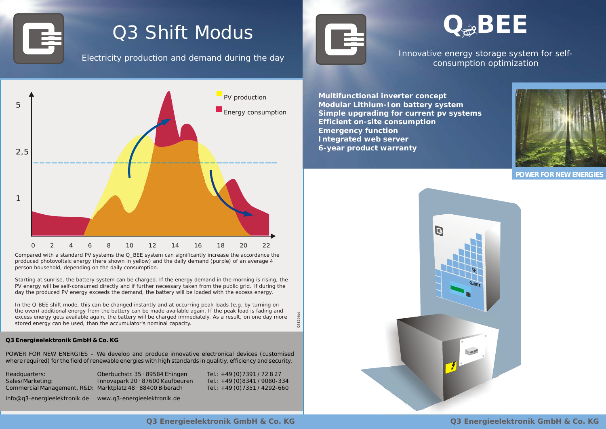**Q3 Energieelektronik GmbH & Co. KG Q3 Energieelektronik GmbH & Co. KG**



## Q3 Shift Modus

Electricity production and demand during the day



### Innovative energy storage system for selfconsumption optimization



#### **Q3 Energieelektronik GmbH & Co. KG**

POWER FOR NEW ENERGIES – We develop and produce innovative electronical devices (customised where required) for the field of renewable energies with high standards in qualitiy, efficiency and security.

| Headquarters:                                              | Oberbuchstr. $35 \cdot 89584$ Ehingen  | Tel.: $+49(0)7391/72827$      |
|------------------------------------------------------------|----------------------------------------|-------------------------------|
| Sales/Marketing:                                           | Innovapark $20 \cdot 87600$ Kaufbeuren | Tel.: +49 (0)8341 / 9080-334  |
| Commercial Management, R&D: Marktplatz 48 · 88400 Biberach |                                        | Tel.: +49 (0) 7351 / 4292-660 |

info@q3-energieelektronik.de www.q3-energieelektronik.de

Q3120606

 **Multifunctional inverter concept Modular Lithium-Ion battery system Simple upgrading for current pv systems Efficient on-site consumption Emergency function Integrated web server 6-year product warranty**



In the Q-BEE shift mode, this can be changed instantly and at occurring peak loads (e.g. by turning on the oven) additional energy from the battery can be made available again. If the peak load is fading and excess energy gets available again, the battery will be charged immediately. As a result, on one day more stored energy can be used, than the accumulator's nominal capacity.

Compared with a standard PV systems the Q\_*B*EE system can significantly increase the accordance the produced photovoltaic energy (here shown in yellow) and the daily demand (purple) of an average 4 person household, depending on the daily consumption.

Starting at sunrise, the battery system can be charged. If the energy demand in the morning is rising, the PV energy will be self-consumed directly and if further necessary taken from the public grid. If during the day the produced PV energy exceeds the demand, the battery will be loaded with the excess energy.

**POWER FOR NEW ENERGIES**